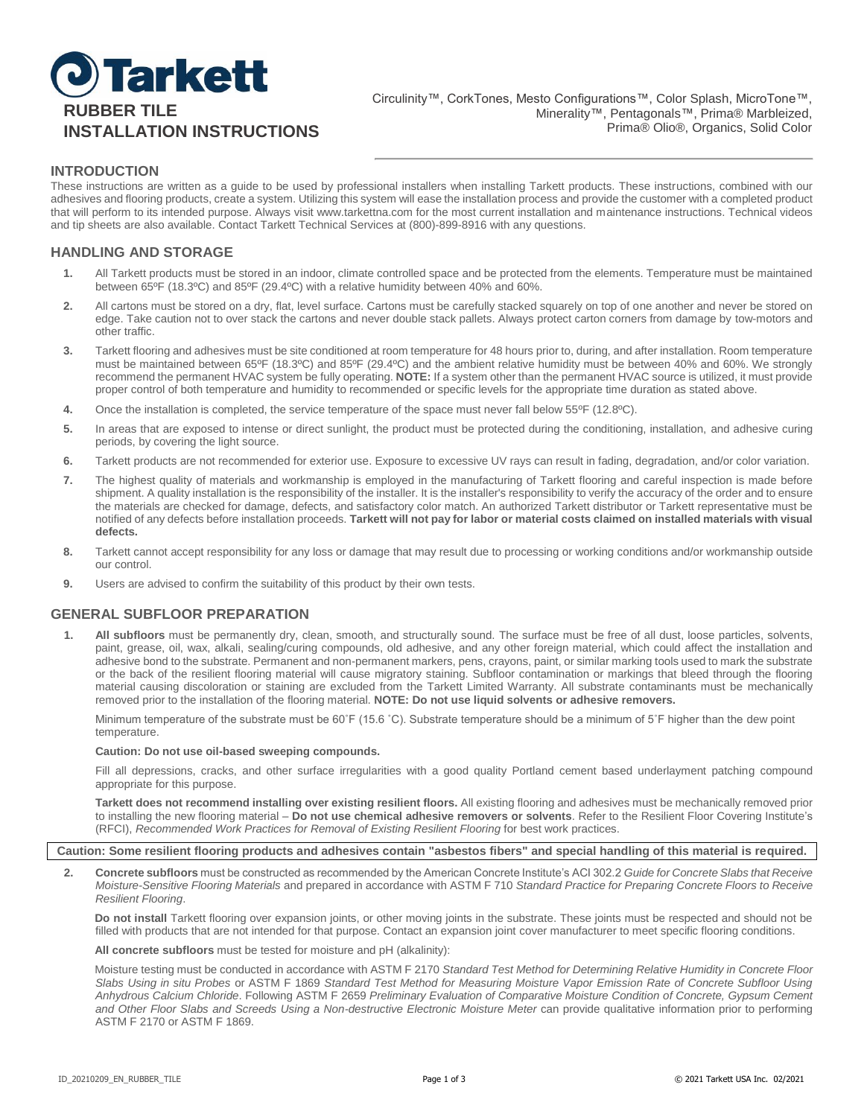

# **INTRODUCTION**

These instructions are written as a guide to be used by professional installers when installing Tarkett products. These instructions, combined with our adhesives and flooring products, create a system. Utilizing this system will ease the installation process and provide the customer with a completed product that will perform to its intended purpose. Always visit www.tarkettna.com for the most current installation and maintenance instructions. Technical videos and tip sheets are also available. Contact Tarkett Technical Services at (800)-899-8916 with any questions.

# **HANDLING AND STORAGE**

- **1.** All Tarkett products must be stored in an indoor, climate controlled space and be protected from the elements. Temperature must be maintained between 65ºF (18.3ºC) and 85ºF (29.4ºC) with a relative humidity between 40% and 60%.
- **2.** All cartons must be stored on a dry, flat, level surface. Cartons must be carefully stacked squarely on top of one another and never be stored on edge. Take caution not to over stack the cartons and never double stack pallets. Always protect carton corners from damage by tow-motors and other traffic.
- **3.** Tarkett flooring and adhesives must be site conditioned at room temperature for 48 hours prior to, during, and after installation. Room temperature must be maintained between 65ºF (18.3ºC) and 85ºF (29.4ºC) and the ambient relative humidity must be between 40% and 60%. We strongly recommend the permanent HVAC system be fully operating. **NOTE:** If a system other than the permanent HVAC source is utilized, it must provide proper control of both temperature and humidity to recommended or specific levels for the appropriate time duration as stated above.
- **4.** Once the installation is completed, the service temperature of the space must never fall below 55ºF (12.8ºC).
- **5.** In areas that are exposed to intense or direct sunlight, the product must be protected during the conditioning, installation, and adhesive curing periods, by covering the light source.
- **6.** Tarkett products are not recommended for exterior use. Exposure to excessive UV rays can result in fading, degradation, and/or color variation.
- **7.** The highest quality of materials and workmanship is employed in the manufacturing of Tarkett flooring and careful inspection is made before shipment. A quality installation is the responsibility of the installer. It is the installer's responsibility to verify the accuracy of the order and to ensure the materials are checked for damage, defects, and satisfactory color match. An authorized Tarkett distributor or Tarkett representative must be notified of any defects before installation proceeds. **Tarkett will not pay for labor or material costs claimed on installed materials with visual defects.**
- **8.** Tarkett cannot accept responsibility for any loss or damage that may result due to processing or working conditions and/or workmanship outside our control.
- **9.** Users are advised to confirm the suitability of this product by their own tests.

## **GENERAL SUBFLOOR PREPARATION**

**1. All subfloors** must be permanently dry, clean, smooth, and structurally sound. The surface must be free of all dust, loose particles, solvents, paint, grease, oil, wax, alkali, sealing/curing compounds, old adhesive, and any other foreign material, which could affect the installation and adhesive bond to the substrate. Permanent and non-permanent markers, pens, crayons, paint, or similar marking tools used to mark the substrate or the back of the resilient flooring material will cause migratory staining. Subfloor contamination or markings that bleed through the flooring material causing discoloration or staining are excluded from the Tarkett Limited Warranty. All substrate contaminants must be mechanically removed prior to the installation of the flooring material. **NOTE: Do not use liquid solvents or adhesive removers.**

Minimum temperature of the substrate must be 60˚F (15.6 ˚C). Substrate temperature should be a minimum of 5˚F higher than the dew point temperature.

#### **Caution: Do not use oil-based sweeping compounds.**

Fill all depressions, cracks, and other surface irregularities with a good quality Portland cement based underlayment patching compound appropriate for this purpose.

**Tarkett does not recommend installing over existing resilient floors.** All existing flooring and adhesives must be mechanically removed prior to installing the new flooring material – **Do not use chemical adhesive removers or solvents**. Refer to the Resilient Floor Covering Institute's (RFCI), *Recommended Work Practices for Removal of Existing Resilient Flooring* for best work practices.

### **Caution: Some resilient flooring products and adhesives contain "asbestos fibers" and special handling of this material is required.**

**2. Concrete subfloors** must be constructed as recommended by the American Concrete Institute's ACI 302.2 *Guide for Concrete Slabs that Receive Moisture-Sensitive Flooring Materials* and prepared in accordance with ASTM F 710 *Standard Practice for Preparing Concrete Floors to Receive Resilient Flooring*.

**Do not install** Tarkett flooring over expansion joints, or other moving joints in the substrate. These joints must be respected and should not be filled with products that are not intended for that purpose. Contact an expansion joint cover manufacturer to meet specific flooring conditions.

**All concrete subfloors** must be tested for moisture and pH (alkalinity):

Moisture testing must be conducted in accordance with ASTM F 2170 *Standard Test Method for Determining Relative Humidity in Concrete Floor Slabs Using in situ Probes* or ASTM F 1869 *Standard Test Method for Measuring Moisture Vapor Emission Rate of Concrete Subfloor Using Anhydrous Calcium Chloride*. Following ASTM F 2659 *Preliminary Evaluation of Comparative Moisture Condition of Concrete, Gypsum Cement*  and Other Floor Slabs and Screeds Using a Non-destructive Electronic Moisture Meter can provide qualitative information prior to performing ASTM F 2170 or ASTM F 1869.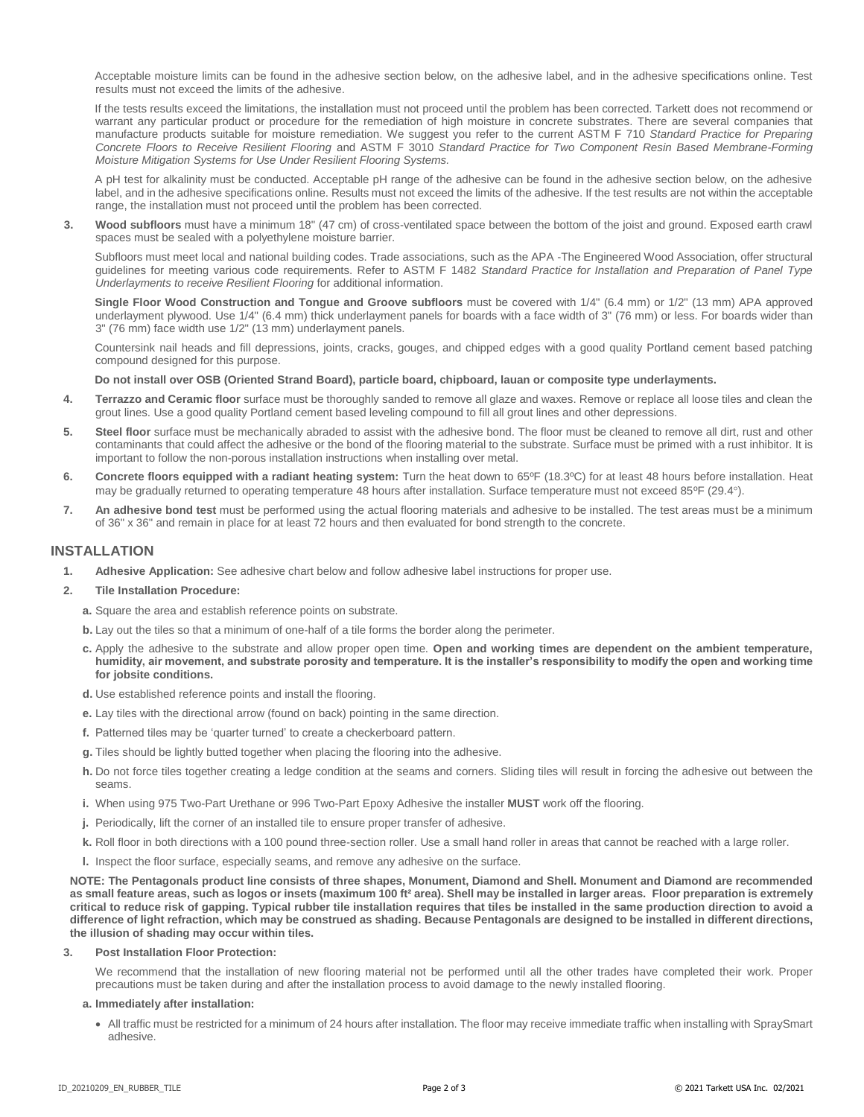Acceptable moisture limits can be found in the adhesive section below, on the adhesive label, and in the adhesive specifications online. Test results must not exceed the limits of the adhesive.

If the tests results exceed the limitations, the installation must not proceed until the problem has been corrected. Tarkett does not recommend or warrant any particular product or procedure for the remediation of high moisture in concrete substrates. There are several companies that manufacture products suitable for moisture remediation. We suggest you refer to the current ASTM F 710 *Standard Practice for Preparing Concrete Floors to Receive Resilient Flooring* and ASTM F 3010 *Standard Practice for Two Component Resin Based Membrane-Forming Moisture Mitigation Systems for Use Under Resilient Flooring Systems.*

A pH test for alkalinity must be conducted. Acceptable pH range of the adhesive can be found in the adhesive section below, on the adhesive label, and in the adhesive specifications online. Results must not exceed the limits of the adhesive. If the test results are not within the acceptable range, the installation must not proceed until the problem has been corrected.

**3. Wood subfloors** must have a minimum 18" (47 cm) of cross-ventilated space between the bottom of the joist and ground. Exposed earth crawl spaces must be sealed with a polyethylene moisture barrier.

Subfloors must meet local and national building codes. Trade associations, such as the APA -The Engineered Wood Association, offer structural guidelines for meeting various code requirements. Refer to ASTM F 1482 *Standard Practice for Installation and Preparation of Panel Type Underlayments to receive Resilient Flooring* for additional information.

**Single Floor Wood Construction and Tongue and Groove subfloors** must be covered with 1/4" (6.4 mm) or 1/2" (13 mm) APA approved underlayment plywood. Use 1/4" (6.4 mm) thick underlayment panels for boards with a face width of 3" (76 mm) or less. For boards wider than 3" (76 mm) face width use 1/2" (13 mm) underlayment panels.

Countersink nail heads and fill depressions, joints, cracks, gouges, and chipped edges with a good quality Portland cement based patching compound designed for this purpose.

**Do not install over OSB (Oriented Strand Board), particle board, chipboard, lauan or composite type underlayments.**

- **4. Terrazzo and Ceramic floor** surface must be thoroughly sanded to remove all glaze and waxes. Remove or replace all loose tiles and clean the grout lines. Use a good quality Portland cement based leveling compound to fill all grout lines and other depressions.
- **5. Steel floor** surface must be mechanically abraded to assist with the adhesive bond. The floor must be cleaned to remove all dirt, rust and other contaminants that could affect the adhesive or the bond of the flooring material to the substrate. Surface must be primed with a rust inhibitor. It is important to follow the non-porous installation instructions when installing over metal.
- **6. Concrete floors equipped with a radiant heating system:** Turn the heat down to 65ºF (18.3ºC) for at least 48 hours before installation. Heat may be gradually returned to operating temperature 48 hours after installation. Surface temperature must not exceed 85ºF (29.4°).
- **7. An adhesive bond test** must be performed using the actual flooring materials and adhesive to be installed. The test areas must be a minimum of 36" x 36" and remain in place for at least 72 hours and then evaluated for bond strength to the concrete.

# **INSTALLATION**

**1. Adhesive Application:** See adhesive chart below and follow adhesive label instructions for proper use.

## **2. Tile Installation Procedure:**

- **a.** Square the area and establish reference points on substrate.
- **b.** Lay out the tiles so that a minimum of one-half of a tile forms the border along the perimeter.
- **c.** Apply the adhesive to the substrate and allow proper open time. **Open and working times are dependent on the ambient temperature, humidity, air movement, and substrate porosity and temperature. It is the installer's responsibility to modify the open and working time for jobsite conditions.**
- **d.** Use established reference points and install the flooring.
- **e.** Lay tiles with the directional arrow (found on back) pointing in the same direction.
- **f.** Patterned tiles may be 'quarter turned' to create a checkerboard pattern.
- **g.** Tiles should be lightly butted together when placing the flooring into the adhesive.
- **h.** Do not force tiles together creating a ledge condition at the seams and corners. Sliding tiles will result in forcing the adhesive out between the seams.
- **i.** When using 975 Two-Part Urethane or 996 Two-Part Epoxy Adhesive the installer **MUST** work off the flooring.
- **j.** Periodically, lift the corner of an installed tile to ensure proper transfer of adhesive.
- **k.** Roll floor in both directions with a 100 pound three-section roller. Use a small hand roller in areas that cannot be reached with a large roller.
- **l.** Inspect the floor surface, especially seams, and remove any adhesive on the surface.

**NOTE: The Pentagonals product line consists of three shapes, Monument, Diamond and Shell. Monument and Diamond are recommended as small feature areas, such as logos or insets (maximum 100 ft² area). Shell may be installed in larger areas. Floor preparation is extremely critical to reduce risk of gapping. Typical rubber tile installation requires that tiles be installed in the same production direction to avoid a difference of light refraction, which may be construed as shading. Because Pentagonals are designed to be installed in different directions, the illusion of shading may occur within tiles.**

## **3. Post Installation Floor Protection:**

We recommend that the installation of new flooring material not be performed until all the other trades have completed their work. Proper precautions must be taken during and after the installation process to avoid damage to the newly installed flooring.

#### **a. Immediately after installation:**

 All traffic must be restricted for a minimum of 24 hours after installation. The floor may receive immediate traffic when installing with SpraySmart adhesive.